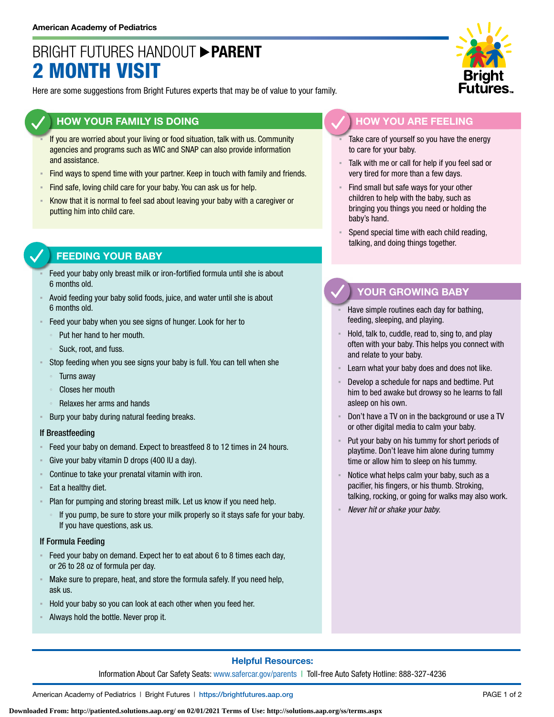## BRIGHT FUTURES HANDOUT **PARENT** 2 MONTH VISIT

Here are some suggestions from Bright Futures experts that may be of value to your family.

### **HOW YOUR FAMILY IS DOING**

- If you are worried about your living or food situation, talk with us. Community agencies and programs such as WIC and SNAP can also provide information and assistance.
- Find ways to spend time with your partner. Keep in touch with family and friends.
- **EXTED 15 Find safe, loving child care for your baby. You can ask us for help.**
- Know that it is normal to feel sad about leaving your baby with a caregiver or putting him into child care.

## **FEEDING YOUR BABY**

- Feed your baby only breast milk or iron-fortified formula until she is about 6 months old.
- Avoid feeding your baby solid foods, juice, and water until she is about 6 months old.
- Feed your baby when you see signs of hunger. Look for her to
	- Put her hand to her mouth.
	- Suck, root, and fuss.
- Stop feeding when you see signs your baby is full. You can tell when she
	- **Turns away**
	- Closes her mouth
	- Relaxes her arms and hands
- Burp your baby during natural feeding breaks.

#### If Breastfeeding

- Feed your baby on demand. Expect to breastfeed 8 to 12 times in 24 hours.
- Give your baby vitamin D drops (400 IU a day).
- Continue to take your prenatal vitamin with iron.
- Eat a healthy diet.
- Plan for pumping and storing breast milk. Let us know if you need help.
	- If you pump, be sure to store your milk properly so it stays safe for your baby. If you have questions, ask us.

#### If Formula Feeding

- Feed your baby on demand. Expect her to eat about 6 to 8 times each day, or 26 to 28 oz of formula per day.
- Make sure to prepare, heat, and store the formula safely. If you need help, ask us.
- Hold your baby so you can look at each other when you feed her.
- Always hold the bottle. Never prop it.



## **HOW YOU ARE FEELING**

- Take care of yourself so you have the energy to care for your baby.
- Talk with me or call for help if you feel sad or very tired for more than a few days.
- **EXECT** Find small but safe ways for your other children to help with the baby, such as bringing you things you need or holding the baby's hand.
- Spend special time with each child reading, talking, and doing things together.

### **YOUR GROWING BABY**

- Have simple routines each day for bathing, feeding, sleeping, and playing.
- Hold, talk to, cuddle, read to, sing to, and play often with your baby. This helps you connect with and relate to your baby.
- Learn what your baby does and does not like.
- Develop a schedule for naps and bedtime. Put him to bed awake but drowsy so he learns to fall asleep on his own.
- Don't have a TV on in the background or use a TV or other digital media to calm your baby.
- Put your baby on his tummy for short periods of playtime. Don't leave him alone during tummy time or allow him to sleep on his tummy.
- Notice what helps calm your baby, such as a pacifier, his fingers, or his thumb. Stroking, talking, rocking, or going for walks may also work.
- *Never hit or shake your baby.*

### **Helpful Resources:**

Information About Car Safety Seats: [www.safercar.gov/parents](https://www.nhtsa.gov/parents-and-caregivers) | Toll-free Auto Safety Hotline: 888-327-4236

American Academy of Pediatrics | Bright Futures | https:/[/brightfutures.aap.org](https://brightfutures.aap.org/Pages/default.aspx) PAGE 1 of 2

**Downloaded From: http://patiented.solutions.aap.org/ on 02/01/2021 Terms of Use: http://solutions.aap.org/ss/terms.aspx**